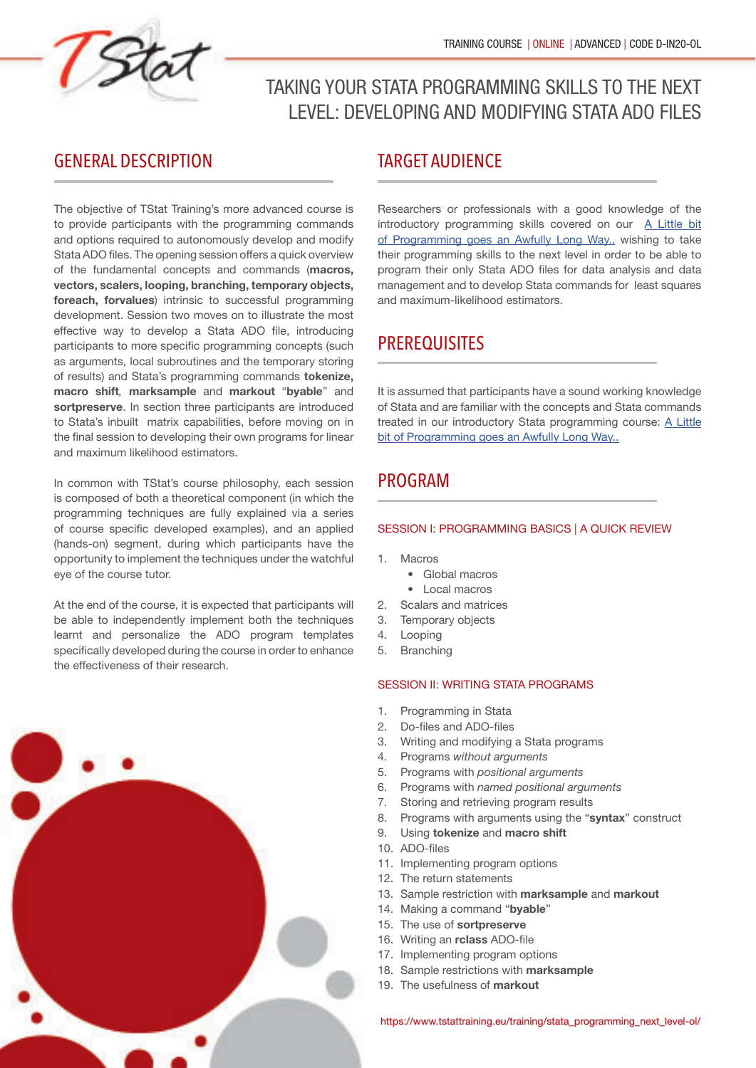

# TAKING YOUR STATA PROGRAMMING SKILLS TO THE NEXT LEVEL: DEVELOPING AND MODIFYING STATA ADO FILES

## GENERAL DESCRIPTION

The objective of TStat Training's more advanced course is to provide participants with the programming commands and options required to autonomously develop and modify Stata ADO files. The opening session offers a quick overview of the fundamental concepts and commands (**macros, vectors, scalers, looping, branching, temporary objects, foreach, forvalues**) intrinsic to successful programming development. Session two moves on to illustrate the most effective way to develop a Stata ADO file, introducing participants to more specific programming concepts (such as arguments, local subroutines and the temporary storing of results) and Stata's programming commands **tokenize, macro shift**, **marksample** and **markout** "**byable**" and **sortpreserve**. In section three participants are introduced to Stata's inbuilt matrix capabilities, before moving on in the final session to developing their own programs for linear and maximum likelihood estimators.

In common with TStat's course philosophy, each session is composed of both a theoretical component (in which the programming techniques are fully explained via a series of course specific developed examples), and an applied (hands-on) segment, during which participants have the opportunity to implement the techniques under the watchful eye of the course tutor.

At the end of the course, it is expected that participants will be able to independently implement both the techniques learnt and personalize the ADO program templates specifically developed during the course in order to enhance the effectiveness of their research.



### TARGET AUDIENCE

Researchers or professionals with a good knowledge of the introductory programming skills covered on our [A Little bit](https://www.tstattraining.eu/training/automating-your-research-stata-ol/) [of Programming goes an Awfully Long Way..](https://www.tstattraining.eu/training/automating-your-research-stata-ol/) wishing to take their programming skills to the next level in order to be able to program their only Stata ADO files for data analysis and data management and to develop Stata commands for least squares and maximum-likelihood estimators.

## **PREREQUISITES**

It is assumed that participants have a sound working knowledge of Stata and are familiar with the concepts and Stata commands treated in our introductory Stata programming course: [A Little](https://www.tstattraining.eu/training/automating-your-research-stata-ol/)  [bit of Programming goes an Awfully Long Way..](https://www.tstattraining.eu/training/automating-your-research-stata-ol/)

## PROGRAM

#### SESSION I: PROGRAMMING BASICS | A QUICK REVIEW

- 1. Macros
	- Global macros
	- Local macros
- 2. Scalars and matrices
- 3. Temporary objects
- 4. Looping
- 5. Branching

#### SESSION II: WRITING STATA PROGRAMS

- 1. Programming in Stata
- 2. Do-files and ADO-files
- 3. Writing and modifying a Stata programs
- 4. Programs without arguments
- 5. Programs with positional arguments
- 6. Programs with named positional arguments
- 7. Storing and retrieving program results
- 8. Programs with arguments using the "**syntax**" construct
- 9. Using **tokenize** and **macro shift**
- 10. ADO-files
- 11. Implementing program options
- 12. The return statements
- 13. Sample restriction with **marksample** and **markout**
- 14. Making a command "**byable**"
- 15. The use of **sortpreserve**
- 16. Writing an *rclass* ADO-file
- 17. Implementing program options
- 18. Sample restrictions with **marksample**
- 19. The usefulness of **markout**